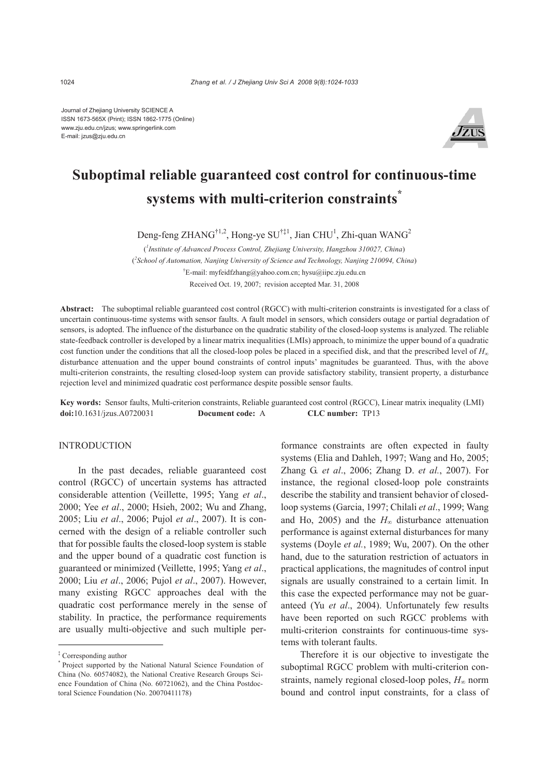Journal of Zhejiang University SCIENCE A ISSN 1673-565X (Print); ISSN 1862-1775 (Online) www.zju.edu.cn/jzus; www.springerlink.com E-mail: jzus@zju.edu.cn



# **Suboptimal reliable guaranteed cost control for continuous-time systems with multi-criterion constraints\***

Deng-feng ZHANG<sup>†1,2</sup>, Hong-ye SU<sup>†‡1</sup>, Jian CHU<sup>1</sup>, Zhi-quan WANG<sup>2</sup>

( *1 Institute of Advanced Process Control, Zhejiang University, Hangzhou 310027, China*) ( *2 School of Automation, Nanjing University of Science and Technology, Nanjing 210094, China*) † E-mail: myfeidfzhang@yahoo.com.cn; hysu@iipc.zju.edu.cn Received Oct. 19, 2007; revision accepted Mar. 31, 2008

**Abstract:** The suboptimal reliable guaranteed cost control (RGCC) with multi-criterion constraints is investigated for a class of uncertain continuous-time systems with sensor faults. A fault model in sensors, which considers outage or partial degradation of sensors, is adopted. The influence of the disturbance on the quadratic stability of the closed-loop systems is analyzed. The reliable state-feedback controller is developed by a linear matrix inequalities (LMIs) approach, to minimize the upper bound of a quadratic cost function under the conditions that all the closed-loop poles be placed in a specified disk, and that the prescribed level of  $H_{\infty}$ disturbance attenuation and the upper bound constraints of control inputs' magnitudes be guaranteed. Thus, with the above multi-criterion constraints, the resulting closed-loop system can provide satisfactory stability, transient property, a disturbance rejection level and minimized quadratic cost performance despite possible sensor faults.

**Key words:** Sensor faults, Multi-criterion constraints, Reliable guaranteed cost control (RGCC), Linear matrix inequality (LMI) **doi:**10.1631/jzus.A0720031 **Document code:** A **CLC number:** TP13

# INTRODUCTION

In the past decades, reliable guaranteed cost control (RGCC) of uncertain systems has attracted considerable attention (Veillette, 1995; Yang *et al*., 2000; Yee *et al*., 2000; Hsieh, 2002; Wu and Zhang, 2005; Liu *et al*., 2006; Pujol *et al*., 2007). It is concerned with the design of a reliable controller such that for possible faults the closed-loop system is stable and the upper bound of a quadratic cost function is guaranteed or minimized (Veillette, 1995; Yang *et al*., 2000; Liu *et al*., 2006; Pujol *et al*., 2007). However, many existing RGCC approaches deal with the quadratic cost performance merely in the sense of stability. In practice, the performance requirements are usually multi-objective and such multiple per-

formance constraints are often expected in faulty systems (Elia and Dahleh, 1997; Wang and Ho, 2005; Zhang G. *et al*., 2006; Zhang D. *et al.*, 2007). For instance, the regional closed-loop pole constraints describe the stability and transient behavior of closedloop systems (Garcia, 1997; Chilali *et al*., 1999; Wang and Ho, 2005) and the  $H_{\infty}$  disturbance attenuation performance is against external disturbances for many systems (Doyle *et al.*, 1989; Wu, 2007). On the other hand, due to the saturation restriction of actuators in practical applications, the magnitudes of control input signals are usually constrained to a certain limit. In this case the expected performance may not be guaranteed (Yu *et al*., 2004). Unfortunately few results have been reported on such RGCC problems with multi-criterion constraints for continuous-time systems with tolerant faults.

Therefore it is our objective to investigate the suboptimal RGCC problem with multi-criterion constraints, namely regional closed-loop poles, *H*∞ norm bound and control input constraints, for a class of

<sup>‡</sup> Corresponding author

<sup>\*</sup> Project supported by the National Natural Science Foundation of China (No. 60574082), the National Creative Research Groups Science Foundation of China (No. 60721062), and the China Postdoctoral Science Foundation (No. 20070411178)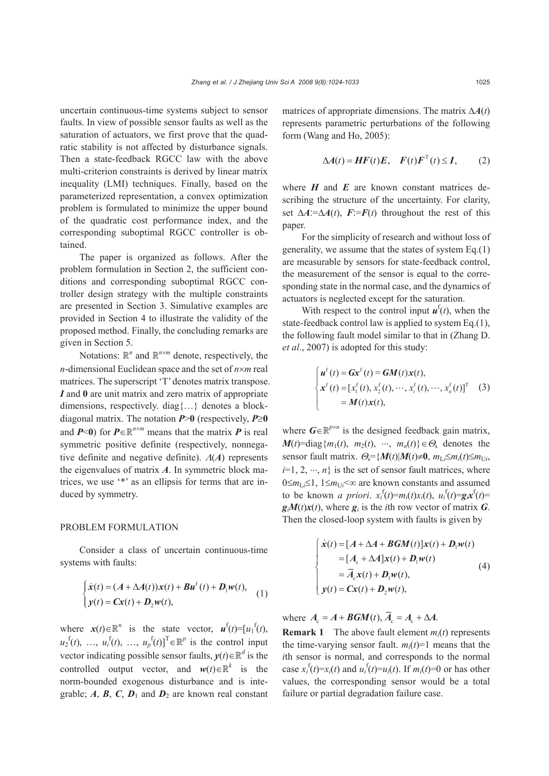uncertain continuous-time systems subject to sensor faults. In view of possible sensor faults as well as the saturation of actuators, we first prove that the quadratic stability is not affected by disturbance signals. Then a state-feedback RGCC law with the above multi-criterion constraints is derived by linear matrix inequality (LMI) techniques. Finally, based on the parameterized representation, a convex optimization problem is formulated to minimize the upper bound of the quadratic cost performance index, and the corresponding suboptimal RGCC controller is obtained.

The paper is organized as follows. After the problem formulation in Section 2, the sufficient conditions and corresponding suboptimal RGCC controller design strategy with the multiple constraints are presented in Section 3. Simulative examples are provided in Section 4 to illustrate the validity of the proposed method. Finally, the concluding remarks are given in Section 5.

Notations:  $\mathbb{R}^n$  and  $\mathbb{R}^{n \times m}$  denote, respectively, the *n*-dimensional Euclidean space and the set of *n*×*m* real matrices. The superscript 'T' denotes matrix transpose. *I* and **0** are unit matrix and zero matrix of appropriate dimensions, respectively. diag{…} denotes a blockdiagonal matrix. The notation *P*>**0** (respectively, *P*≥**0** and  $P \le 0$  for  $P \in \mathbb{R}^{n \times m}$  means that the matrix P is real symmetric positive definite (respectively, nonnegative definite and negative definite). Λ(*A*) represents the eigenvalues of matrix *A*. In symmetric block matrices, we use '\*' as an ellipsis for terms that are induced by symmetry.

### PROBLEM FORMULATION

Consider a class of uncertain continuous-time systems with faults:

$$
\begin{cases}\n\dot{\mathbf{x}}(t) = (A + \Delta A(t))\mathbf{x}(t) + \mathbf{B}\mathbf{u}^{\mathrm{f}}(t) + \mathbf{D}_{\mathrm{I}}\mathbf{w}(t), \\
y(t) = \mathbf{C}\mathbf{x}(t) + \mathbf{D}_{\mathrm{2}}\mathbf{w}(t),\n\end{cases}
$$
\n(1)

where  $x(t) \in \mathbb{R}^n$  is the state vector,  $u^f(t) = [u_1^f(t)]$ ,  $u_2$ <sup>f</sup>(*t*), …,  $u_i$ <sup>f</sup>(*t*), …,  $u_p$ <sup>f</sup>(*t*)]<sup>T</sup> ∈  $\mathbb{R}^p$  is the control input vector indicating possible sensor faults,  $y(t) \in \mathbb{R}^d$  is the controlled output vector, and  $w(t) \in \mathbb{R}^k$  is the norm-bounded exogenous disturbance and is integrable;  $A$ ,  $B$ ,  $C$ ,  $D_1$  and  $D_2$  are known real constant

matrices of appropriate dimensions. The matrix Δ*A*(*t*) represents parametric perturbations of the following form (Wang and Ho, 2005):

$$
\Delta A(t) = HF(t)E, \quad F(t)F^{T}(t) \le I, \qquad (2)
$$

where  $H$  and  $E$  are known constant matrices describing the structure of the uncertainty. For clarity, set  $\Delta A := \Delta A(t)$ ,  $F := F(t)$  throughout the rest of this paper.

For the simplicity of research and without loss of generality, we assume that the states of system Eq.(1) are measurable by sensors for state-feedback control, the measurement of the sensor is equal to the corresponding state in the normal case, and the dynamics of actuators is neglected except for the saturation.

With respect to the control input  $\boldsymbol{u}^{\text{f}}(t)$ , when the state-feedback control law is applied to system Eq.(1), the following fault model similar to that in (Zhang D. *et al*., 2007) is adopted for this study:

$$
\begin{cases}\n\boldsymbol{u}^{\mathrm{f}}(t) = \boldsymbol{G}\boldsymbol{x}^{\mathrm{f}}(t) = \boldsymbol{G}\boldsymbol{M}(t)\boldsymbol{x}(t), \\
\boldsymbol{x}^{\mathrm{f}}(t) = \left[x_1^{\mathrm{f}}(t), x_2^{\mathrm{f}}(t), \cdots, x_i^{\mathrm{f}}(t), \cdots, x_n^{\mathrm{f}}(t)\right]^{\mathrm{T}} \quad (3) \\
= \boldsymbol{M}(t)\boldsymbol{x}(t),\n\end{cases}
$$

where  $G \in \mathbb{R}^{p \times n}$  is the designed feedback gain matrix,  $M(t)$ =diag{ $m_1(t)$ ,  $m_2(t)$ ,  $\cdots$ ,  $m_n(t)$ } $\in \Theta_s$  denotes the sensor fault matrix.  $\Theta_s = \{M(t) | M(t) \neq 0, m_{Li} \leq m_i(t) \leq m_{Ui}$ ,  $i=1, 2, \dots, n$  is the set of sensor fault matrices, where 0≤*m*<sub>Li</sub>≤1, 1≤*m*<sub>U*i*</sub><∞ are known constants and assumed to be known *a priori*.  $x_i^f(t)=m_i(t)x_i(t)$ ,  $u_i^f(t)=g_ix^f(t)=$  $g_i M(t) x(t)$ , where  $g_i$  is the *i*th row vector of matrix *G*. Then the closed-loop system with faults is given by

$$
\begin{cases}\n\dot{x}(t) = [A + \Delta A + \textbf{BGM}(t)]x(t) + D_1w(t) \\
= [A_c + \Delta A]x(t) + D_1w(t) \\
= \overline{A}_c x(t) + D_1w(t), \\
y(t) = Cx(t) + D_2w(t),\n\end{cases} (4)
$$

where  $A_c = A + \textbf{BGM}(t), \overline{A}_c = A_c + \Delta A$ .

**Remark 1** The above fault element *mi*(*t*) represents the time-varying sensor fault.  $m_i(t)=1$  means that the *i*th sensor is normal, and corresponds to the normal case  $x_i^f(t)=x_i(t)$  and  $u_i^f(t)=u_i(t)$ . If  $m_i(t)=0$  or has other values, the corresponding sensor would be a total failure or partial degradation failure case.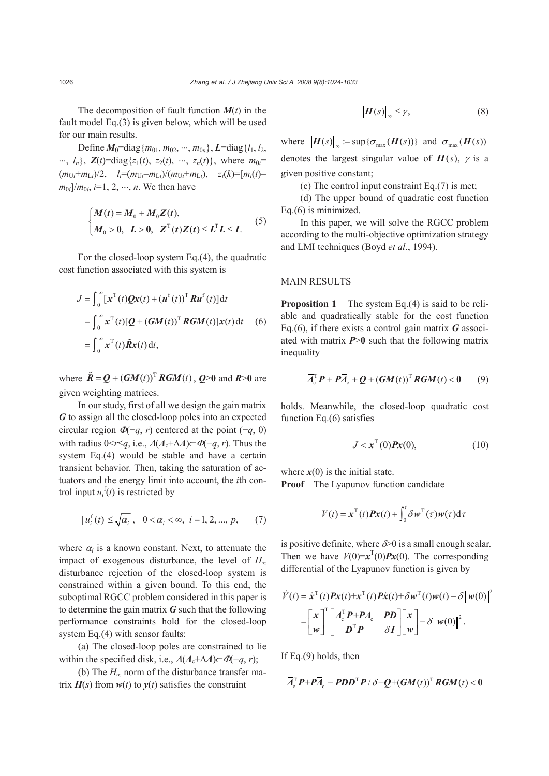The decomposition of fault function  $M(t)$  in the fault model Eq.(3) is given below, which will be used for our main results.

Define  $M_0$ =diag ${m_{01}, m_{02}, \dots, m_{0n}}$ ,  $L$ =diag ${l_1, l_2}$  $\cdots$ ,  $l_n$ ,  $\mathbf{Z}(t) = \text{diag}\{z_1(t), z_2(t), \cdots, z_n(t)\}\$ , where  $m_0 =$  $(m_{U_i} + m_{L_i})/2$ ,  $l_i = (m_{U_i} - m_{L_i})/(m_{U_i} + m_{L_i})$ ,  $z_i(k) = [m_i(t) - m_{U_i}]/2$  $m_{0i}/m_{0i}$ , *i*=1, 2, …, *n*. We then have

$$
\begin{cases}\nM(t) = M_0 + M_0 Z(t), \\
M_0 > 0, \quad L > 0, \quad Z^{\mathrm{T}}(t) Z(t) \le L^{\mathrm{T}} L \le I.\n\end{cases} (5)
$$

For the closed-loop system Eq.(4), the quadratic cost function associated with this system is

$$
J = \int_0^\infty [\mathbf{x}^{\mathrm{T}}(t)\mathbf{Q}\mathbf{x}(t) + (\mathbf{u}^{\mathrm{f}}(t))^{\mathrm{T}} \mathbf{R}\mathbf{u}^{\mathrm{f}}(t)] dt
$$
  
\n
$$
= \int_0^\infty \mathbf{x}^{\mathrm{T}}(t)[\mathbf{Q} + (\mathbf{G}\mathbf{M}(t))^{\mathrm{T}} \mathbf{R}\mathbf{G}\mathbf{M}(t)]\mathbf{x}(t) dt \quad (6)
$$
  
\n
$$
= \int_0^\infty \mathbf{x}^{\mathrm{T}}(t)\tilde{\mathbf{R}}\mathbf{x}(t) dt,
$$

where  $\tilde{R} = Q + (GM(t))^T RGM(t)$ ,  $Q \ge 0$  and  $R > 0$  are given weighting matrices.

In our study, first of all we design the gain matrix *G* to assign all the closed-loop poles into an expected circular region  $\Phi(-q, r)$  centered at the point (−*q*, 0) with radius  $0 \le r \le q$ , i.e.,  $A(A_c + \Delta A) \subset \Phi(-q, r)$ . Thus the system Eq.(4) would be stable and have a certain transient behavior. Then, taking the saturation of actuators and the energy limit into account, the *i*th control input  $u_i^f(t)$  is restricted by

$$
|u_i^f(t)| \leq \sqrt{\alpha_i}
$$
,  $0 < \alpha_i < \infty$ ,  $i = 1, 2, ..., p$ , (7)

where  $\alpha_i$  is a known constant. Next, to attenuate the impact of exogenous disturbance, the level of *H*<sup>∞</sup> disturbance rejection of the closed-loop system is constrained within a given bound. To this end, the suboptimal RGCC problem considered in this paper is to determine the gain matrix *G* such that the following performance constraints hold for the closed-loop system Eq.(4) with sensor faults:

(a) The closed-loop poles are constrained to lie within the specified disk, i.e.,  $\Lambda(A_c + \Delta A) \subset \Phi(-q, r)$ ;

(b) The *H*∞ norm of the disturbance transfer matrix  $H(s)$  from  $w(t)$  to  $y(t)$  satisfies the constraint

$$
\left\|H(s)\right\|_{\infty} \leq \gamma,\tag{8}
$$

where  $\| H(s) \|_{\infty} := \sup \{ \sigma_{\max} (H(s)) \}$  and  $\sigma_{\max} (H(s))$ denotes the largest singular value of  $H(s)$ ,  $\gamma$  is a given positive constant;

(c) The control input constraint Eq.(7) is met;

(d) The upper bound of quadratic cost function Eq.(6) is minimized.

In this paper, we will solve the RGCC problem according to the multi-objective optimization strategy and LMI techniques (Boyd *et al*., 1994).

## MAIN RESULTS

**Proposition 1** The system Eq.(4) is said to be reliable and quadratically stable for the cost function Eq.(6), if there exists a control gain matrix *G* associated with matrix *P*>**0** such that the following matrix inequality

$$
\overline{A}_{c}^{T} \boldsymbol{P} + \boldsymbol{P} \overline{A}_{c} + \boldsymbol{Q} + (\boldsymbol{G} \boldsymbol{M}(t))^{T} \boldsymbol{R} \boldsymbol{G} \boldsymbol{M}(t) < \boldsymbol{0} \qquad (9)
$$

holds. Meanwhile, the closed-loop quadratic cost function Eq.(6) satisfies

$$
J < \mathbf{x}^{\mathrm{T}}(0)\mathbf{P}\mathbf{x}(0),\tag{10}
$$

where  $x(0)$  is the initial state. **Proof** The Lyapunov function candidate

$$
V(t) = \mathbf{x}^{\mathrm{T}}(t)\mathbf{P}\mathbf{x}(t) + \int_0^t \delta \mathbf{w}^{\mathrm{T}}(\tau)\mathbf{w}(\tau) d\tau
$$

is positive definite, where  $\delta$  is a small enough scalar. Then we have  $V(0)=x^{T}(0)Px(0)$ . The corresponding differential of the Lyapunov function is given by

$$
\dot{V}(t) = \dot{\mathbf{x}}^{\mathrm{T}}(t)\mathbf{P}\mathbf{x}(t) + \mathbf{x}^{\mathrm{T}}(t)\mathbf{P}\dot{\mathbf{x}}(t) + \delta \mathbf{w}^{\mathrm{T}}(t)\mathbf{w}(t) - \delta \|\mathbf{w}(0)\|^2
$$

$$
= \begin{bmatrix} \mathbf{x} \\ \mathbf{w} \end{bmatrix}^{\mathrm{T}} \begin{bmatrix} \overline{A}_{\mathrm{c}}^{\mathrm{T}} \mathbf{P} + \mathbf{P}\overline{A}_{\mathrm{c}} & \mathbf{P}\mathbf{D} \\ \mathbf{D}^{\mathrm{T}} \mathbf{P} & \delta \mathbf{I} \end{bmatrix} \begin{bmatrix} \mathbf{x} \\ \mathbf{w} \end{bmatrix} - \delta \|\mathbf{w}(0)\|^2.
$$

If Eq.(9) holds, then

$$
\overline{A}_{c}^{T} \boldsymbol{P} + \boldsymbol{P} \overline{A}_{c} - \boldsymbol{P} \boldsymbol{D} \boldsymbol{D}^{T} \boldsymbol{P} / \delta + \boldsymbol{Q} + (\boldsymbol{G} \boldsymbol{M}(t))^{T} \boldsymbol{R} \boldsymbol{G} \boldsymbol{M}(t) < \boldsymbol{0}
$$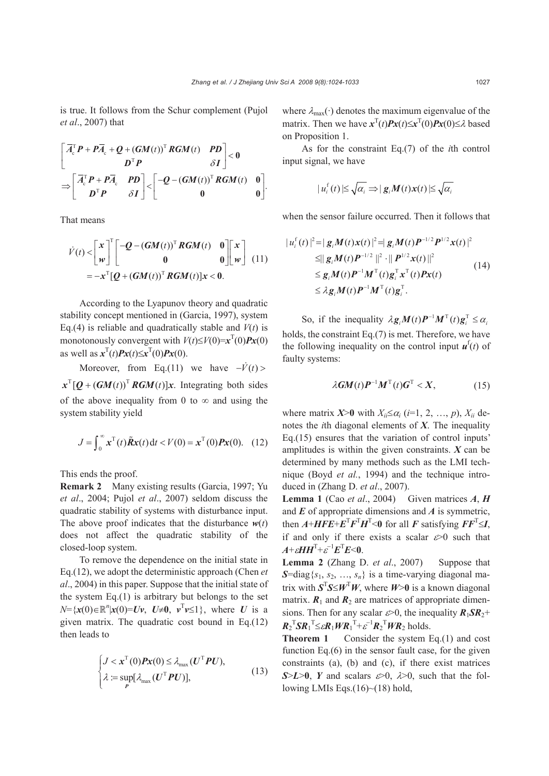is true. It follows from the Schur complement (Pujol *et al*., 2007) that

$$
\begin{bmatrix}\n\overline{A}_{c}^{\mathrm{T}}P + P\overline{A}_{c} + Q + (GM(t))^{\mathrm{T}}RGM(t) & PD \\
D^{\mathrm{T}}P & \delta I\n\end{bmatrix} < 0
$$
\n
$$
\Rightarrow \begin{bmatrix}\n\overline{A}_{c}^{\mathrm{T}}P + P\overline{A}_{c} & PD \\
D^{\mathrm{T}}P & \delta I\n\end{bmatrix} < \begin{bmatrix}\n-Q - (GM(t))^{\mathrm{T}}RGM(t) & 0 \\
0 & 0\n\end{bmatrix}.
$$

That means

$$
\dot{V}(t) < \begin{bmatrix} x \\ w \end{bmatrix}^{\text{T}} \begin{bmatrix} -Q - (GM(t))^{\text{T}} RGM(t) & 0 \\ 0 & 0 \end{bmatrix} \begin{bmatrix} x \\ w \end{bmatrix} \tag{11} = -x^{\text{T}}[Q + (GM(t))^{\text{T}} RGM(t)]x < 0.
$$

According to the Lyapunov theory and quadratic stability concept mentioned in (Garcia, 1997), system Eq.(4) is reliable and quadratically stable and  $V(t)$  is monotonously convergent with  $V(t) \le V(0) = x^T(0)Px(0)$ as well as  $x^{\text{T}}(t)Px(t) \le x^{\text{T}}(0)Px(0)$ .

Moreover, from Eq.(11) we have  $-\dot{V}(t)$  >  $x^T$ [Q +  $(GM(t))^T$  *RGM*(*t*)] $x$ . Integrating both sides of the above inequality from 0 to  $\infty$  and using the system stability yield

$$
J = \int_0^\infty x^{\mathrm{T}}(t) \tilde{R}x(t) \, \mathrm{d}t < V(0) = x^{\mathrm{T}}(0) P x(0). \quad (12)
$$

This ends the proof.

**Remark 2** Many existing results (Garcia, 1997; Yu *et al*., 2004; Pujol *et al*., 2007) seldom discuss the quadratic stability of systems with disturbance input. The above proof indicates that the disturbance  $w(t)$ does not affect the quadratic stability of the closed-loop system.

To remove the dependence on the initial state in Eq.(12), we adopt the deterministic approach (Chen *et al*., 2004) in this paper. Suppose that the initial state of the system  $Eq.(1)$  is arbitrary but belongs to the set  $N = \{x(0) \in \mathbb{R}^n | x(0) = Uv, U \neq 0, v^T v \le 1\}$ , where *U* is a given matrix. The quadratic cost bound in Eq.(12) then leads to

$$
\begin{cases}\nJ < \mathbf{x}^{\mathrm{T}}(0)P\mathbf{x}(0) \le \lambda_{\max}(U^{\mathrm{T}} P U), \\
\lambda := \sup_{P} [\lambda_{\max}(U^{\mathrm{T}} P U)],\n\end{cases} \tag{13}
$$

where  $\lambda_{\text{max}}(\cdot)$  denotes the maximum eigenvalue of the matrix. Then we have  $x^{T}(t)Px(t) \leq x^{T}(0)Px(0) \leq \lambda$  based on Proposition 1.

As for the constraint Eq.(7) of the *i*th control input signal, we have

$$
|u_i^{\mathrm{f}}(t)| \leq \sqrt{\alpha_i} \Longrightarrow |g_i M(t) x(t)| \leq \sqrt{\alpha_i}
$$

when the sensor failure occurred. Then it follows that

$$
|u_i^{\mathrm{f}}(t)|^2 = |g_i M(t)x(t)|^2 = |g_i M(t)P^{-1/2}P^{1/2}x(t)|^2
$$
  
\n
$$
\leq ||g_i M(t)P^{-1/2}||^2 \cdot ||P^{1/2}x(t)||^2
$$
  
\n
$$
\leq g_i M(t)P^{-1}M^{\mathrm{T}}(t)g_i^{\mathrm{T}}x^{\mathrm{T}}(t)Px(t)
$$
  
\n
$$
\leq \lambda g_i M(t)P^{-1}M^{\mathrm{T}}(t)g_i^{\mathrm{T}}.
$$
 (14)

So, if the inequality  $\lambda g_i M(t) P^{-1} M^{T}(t) g_i^{T} \leq \alpha_i$ holds, the constraint Eq.(7) is met. Therefore, we have the following inequality on the control input  $\mathbf{u}^f(t)$  of faulty systems:

$$
\lambda GM(t)P^{-1}M^{T}(t)G^{T} < X,
$$
\n(15)

where matrix  $X > 0$  with  $X_{ii} \leq \alpha_i$  (*i*=1, 2, …, *p*),  $X_{ii}$  denotes the *i*th diagonal elements of *X*. The inequality Eq.(15) ensures that the variation of control inputs' amplitudes is within the given constraints. *X* can be determined by many methods such as the LMI technique (Boyd *et al.*, 1994) and the technique introduced in (Zhang D. *et al*., 2007).

**Lemma 1** (Cao *et al*., 2004) Given matrices *A*, *H* and *E* of appropriate dimensions and *A* is symmetric, then  $A+HFE+E^{T}F^{T}H^{T}$ <0 for all *F* satisfying  $FF^{T} \leq I$ , if and only if there exists a scalar  $\varepsilon > 0$  such that  $A + \varepsilon H H^{T} + \varepsilon^{-1} E^{T} E < 0$ .

**Lemma 2** (Zhang D. *et al*., 2007) Suppose that *S*=diag $\{s_1, s_2, ..., s_n\}$  is a time-varying diagonal matrix with  $S^{T}S \leq W^{T}W$ , where  $W>0$  is a known diagonal matrix.  $\mathbf{R}_1$  and  $\mathbf{R}_2$  are matrices of appropriate dimensions. Then for any scalar  $\varepsilon > 0$ , the inequality  $R_1 S R_2$ +  $R_2$ <sup>T</sup> $SR_1$ <sup>T</sup> $\leq \varepsilon R_1 W R_1$ <sup>T</sup> $+ \varepsilon^{-1} R_2$ <sup>T</sup> $WR_2$  holds.

**Theorem 1** Consider the system Eq.(1) and cost function Eq.(6) in the sensor fault case, for the given constraints (a), (b) and (c), if there exist matrices  $S>L>0$ , *Y* and scalars  $\epsilon > 0$ ,  $\lambda > 0$ , such that the following LMIs Eqs. $(16)$  ~  $(18)$  hold,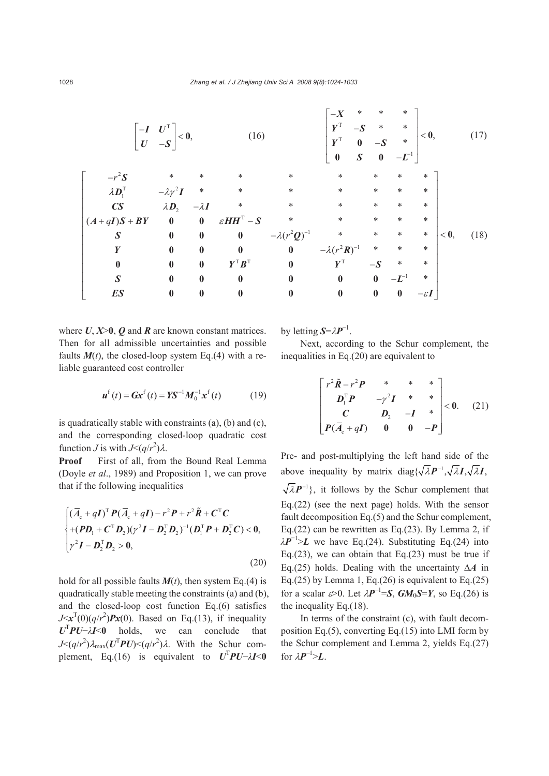|                                                                          | $\begin{bmatrix} -I & U^{\mathrm{T}} \\ U & -S \end{bmatrix} < 0,$ |              | (16)                                                 |                         | $*$<br>$-X$<br>$\pmb{Y}^{\text{T}}$<br>$-S$<br>$\boldsymbol{Y}^\text{T}$<br>$\bf{0}$ | $\ast$<br>$\ast$<br>$0 - S$<br>$S \qquad 0$ | $\ast$<br>$\ast$<br>$*$<br>$-L^{-1}$ | < 0,             |      | (17) |
|--------------------------------------------------------------------------|--------------------------------------------------------------------|--------------|------------------------------------------------------|-------------------------|--------------------------------------------------------------------------------------|---------------------------------------------|--------------------------------------|------------------|------|------|
| $-r^2S$                                                                  | $\ast$                                                             |              | $\ast$                                               | *                       | $\ast$                                                                               | $\ast$                                      | $\ast$                               | $\ast$           |      |      |
| $\lambda \bm{D}_{\!\scriptscriptstyle 1}^{\scriptscriptstyle\mathrm{T}}$ | $-\lambda \gamma^2 I$                                              | $*$          | $\ast$                                               | $\ast$                  | $\ast$                                                                               | $\ast$                                      | $\ast$                               | $\ast$           |      |      |
| CS                                                                       | $\lambda \bm{D}_2$                                                 | $-\lambda I$ | $\ast$                                               | *                       | $\ast$                                                                               | $\ast$                                      | $\ast$                               | $\ast$           |      |      |
| $(A+qI)S + BY$                                                           | $\overline{\mathbf{0}}$                                            | $\bf{0}$     | $\varepsilon H H^{T}-S$                              | $\ast$                  | $\ast$                                                                               | $\ast$                                      | $\ast$                               | $\ast$           |      |      |
| $\boldsymbol{S}$                                                         | $\boldsymbol{0}$                                                   | $\bf{0}$     | $\bf{0}$                                             | $-\lambda(r^2Q)^{-1}$ * |                                                                                      | $*$                                         | $\ast$                               | $\ast$           | < 0, | (18) |
| Y                                                                        | $\bf{0}$                                                           | $\bf{0}$     | $\bf{0}$                                             | $\bf{0}$                | $-\lambda(r^2R)^{-1}$                                                                | $*$                                         | $\ast$                               | $\ast$           |      |      |
| $\boldsymbol{0}$                                                         | $\bf{0}$                                                           | $\bf{0}$     | $\boldsymbol{Y}^{\text{T}}\boldsymbol{B}^{\text{T}}$ | $\bf{0}$                | $\boldsymbol{Y}^{\text{T}}$                                                          | $-S$                                        | $\ast$                               | $\ast$           |      |      |
| $\boldsymbol{S}$                                                         | $\bf{0}$                                                           | $\bf{0}$     | $\bf{0}$                                             | $\bf{0}$                | $\bf{0}$                                                                             | $\bf{0}$                                    | $-L^{-1}$                            | $\ast$           |      |      |
| ES                                                                       | $\bf{0}$                                                           | $\bf{0}$     | $\bf{0}$                                             | $\boldsymbol{0}$        | $\boldsymbol{0}$                                                                     | $\bf{0}$                                    | $\boldsymbol{0}$                     | $-\varepsilon I$ |      |      |

where  $U, X \geq 0$ ,  $O$  and  $R$  are known constant matrices. Then for all admissible uncertainties and possible faults  $M(t)$ , the closed-loop system Eq.(4) with a reliable guaranteed cost controller

$$
u^{f}(t) = Gx^{f}(t) = YS^{-1}M_{0}^{-1}x^{f}(t)
$$
 (19)

is quadratically stable with constraints (a), (b) and (c), and the corresponding closed-loop quadratic cost function *J* is with  $J \leq (q/r^2)\lambda$ .

**Proof** First of all, from the Bound Real Lemma (Doyle *et al*., 1989) and Proposition 1, we can prove that if the following inequalities

$$
\begin{cases}\n(\overline{A}_{\mathrm{c}} + q\mathbf{I})^{\mathrm{T}} \mathbf{P}(\overline{A}_{\mathrm{c}} + q\mathbf{I}) - r^2 \mathbf{P} + r^2 \widetilde{\mathbf{R}} + \mathbf{C}^{\mathrm{T}} \mathbf{C} \\
+ (\mathbf{P} \mathbf{D}_{\mathrm{1}} + \mathbf{C}^{\mathrm{T}} \mathbf{D}_{2}) (r^2 \mathbf{I} - \mathbf{D}_{2}^{\mathrm{T}} \mathbf{D}_{2})^{-1} (\mathbf{D}_{\mathrm{1}}^{\mathrm{T}} \mathbf{P} + \mathbf{D}_{2}^{\mathrm{T}} \mathbf{C}) < \mathbf{0}, \\
r^2 \mathbf{I} - \mathbf{D}_{2}^{\mathrm{T}} \mathbf{D}_{2} > \mathbf{0},\n\end{cases}
$$
\n(20)

hold for all possible faults  $M(t)$ , then system Eq.(4) is quadratically stable meeting the constraints (a) and (b), and the closed-loop cost function Eq.(6) satisfies  $J \leq x^T(0) (q/r^2) P x(0)$ . Based on Eq.(13), if inequality *U*T *PU*−*λI*<**0** holds, we can conclude that *J*<(*q*/*r*<sup>2</sup>) $λ_{\text{max}}$ (*U*<sup>T</sup>*PU*)<(*q*/*r*<sup>2</sup>) $λ$ . With the Schur complement, Eq.(16) is equivalent to  $U^T P U - \lambda I < 0$ 

by letting  $S=\lambda P^{-1}$ .

Next, according to the Schur complement, the inequalities in Eq.(20) are equivalent to

$$
\begin{bmatrix} r^2 \tilde{R} - r^2 P & * & * & * \\ D_1^T P & -\gamma^2 I & * & * \\ C & D_2 & -I & * \\ P(\bar{A}_{\rm c} + qI) & 0 & 0 & -P \end{bmatrix} < 0.
$$
 (21)

Pre- and post-multiplying the left hand side of the above inequality by matrix  $diag{\sqrt{\lambda P^{-1}, \sqrt{\lambda}I, \sqrt{\lambda}I}}$ .  $\sqrt{\lambda}P^{-1}$ , it follows by the Schur complement that Eq.(22) (see the next page) holds. With the sensor fault decomposition Eq.(5) and the Schur complement, Eq.(22) can be rewritten as Eq.(23). By Lemma 2, if  $\lambda P^{-1}$ >*L* we have Eq.(24). Substituting Eq.(24) into Eq.(23), we can obtain that Eq.(23) must be true if Eq.(25) holds. Dealing with the uncertainty Δ*A* in Eq.(25) by Lemma 1, Eq.(26) is equivalent to Eq.(25) for a scalar  $\varepsilon > 0$ . Let  $\lambda P^{-1} = S$ ,  $GM_0S = Y$ , so Eq.(26) is the inequality Eq.(18).

In terms of the constraint (c), with fault decomposition Eq.(5), converting Eq.(15) into LMI form by the Schur complement and Lemma 2, yields Eq.(27) for  $\lambda \mathbf{P}^{-1} > \mathbf{L}$ .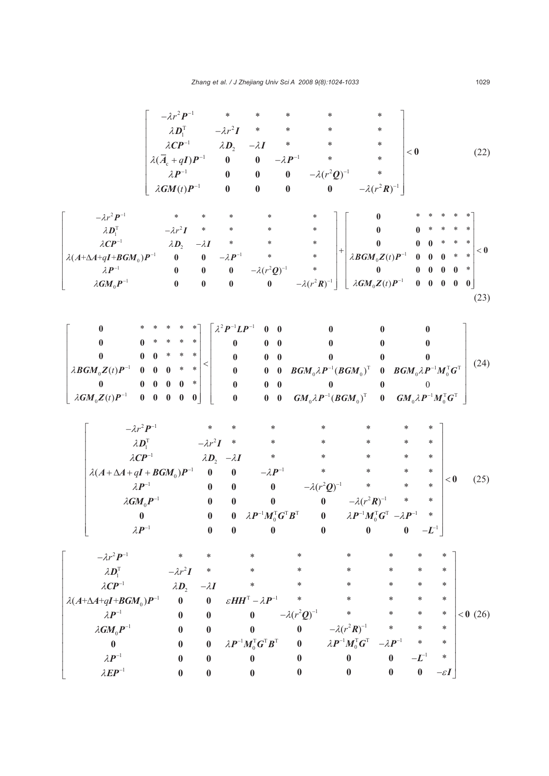| $-\lambda r^2 P^{-1}$<br>$\lambda \bm{D}_{\text{\tiny{l}}}^{\text{\tiny{T}}}$<br>$\lambda CP^{-1}$<br>$\lambda(A+\Delta A+qI+BGM_{0})P^{-1}$<br>$\lambda\textbf{\textit{P}}^{-1}$                                                                                          | $-\lambda r^2 P^{-1}$<br>$\lambda \mathbf{D}_1^{\mathrm{T}}$ $-\lambda r^2 \mathbf{I}$<br>$\lambda CP^{-1}$<br>$\lambda(\overline{A}_{c} + qI)P^{-1}$<br>$\lambda \bm{P}^{-1}$<br>$\lambda GM(t)P^{-1}$<br>$-\lambda r^2 I$<br>$\ast$<br>$\lambda \bm{D}_2$<br>$-\lambda I$<br>$\pmb{0}$<br>$\bf{0}$ | $\lambda \bm{D}_2$<br>$\pmb{0}$<br>$\pmb{0}$<br>$\bf{0}$<br>$\ast$<br>$*$<br>$-\lambda \bm{P}^{-1}$                                            | $\ast$<br>$-\lambda I$<br>$-\lambda P^{-1}$<br>$\pmb{0}$<br>$\pmb{0}$<br>$\pmb{0}$<br>∗<br>$\ast$<br>$\ast$                                                                                                     | $\ast$<br>$\ast$<br>$\ast$<br>$\ast$<br>$-\lambda(r^2Q)^{-1}$<br>$\pmb{0}$<br>$\pmb{0}$<br>$\pmb{0}$<br>*<br>$\vert +$<br>$*$<br>$*$                                                      | *<br>*<br>∗<br>$\ast$<br>$\ast$<br>$-\lambda(r^2 R)^{-1}$<br>$\boldsymbol{0}$<br>$\bf{0}$<br>$\bf{0}$<br>$\lambda \boldsymbol{B} \boldsymbol{G} \boldsymbol{M}_0 \boldsymbol{Z}(t) \boldsymbol{P}^{-1}$<br>$\bf{0}$                                                     | $<\mathbf{0}$<br>$0\quad 0\quad 0$<br>$\bf{0}$<br>$\bf{0}$                                                                                                                                                   | (22)<br>∗<br>∗<br>∗<br>$<\mathbf{0}$<br>∗<br>$\ast$<br>$0 \quad 0$<br>$\ast$          |
|----------------------------------------------------------------------------------------------------------------------------------------------------------------------------------------------------------------------------------------------------------------------------|------------------------------------------------------------------------------------------------------------------------------------------------------------------------------------------------------------------------------------------------------------------------------------------------------|------------------------------------------------------------------------------------------------------------------------------------------------|-----------------------------------------------------------------------------------------------------------------------------------------------------------------------------------------------------------------|-------------------------------------------------------------------------------------------------------------------------------------------------------------------------------------------|-------------------------------------------------------------------------------------------------------------------------------------------------------------------------------------------------------------------------------------------------------------------------|--------------------------------------------------------------------------------------------------------------------------------------------------------------------------------------------------------------|---------------------------------------------------------------------------------------|
| $\lambda GM_0P^{-1}$                                                                                                                                                                                                                                                       | $\bf{0}$<br>$\pmb{0}$<br>$\pmb{0}$<br>$\pmb{0}$                                                                                                                                                                                                                                                      | $\pmb{0}$<br>$\pmb{0}$                                                                                                                         | $-\lambda(r^2Q)^{-1}$<br>$\boldsymbol{0}$                                                                                                                                                                       | $-\lambda(r^2R)^{-1}$                                                                                                                                                                     | $\left\lfloor \ \lambda GM_0 Z(t) P^{-1} \right\rfloor$                                                                                                                                                                                                                 | $\begin{matrix} 0 & 0 & 0 & 0 \end{matrix}$                                                                                                                                                                  | $\bf{0}$                                                                              |
| $\bf{0}$<br>$\mathbf{0}$<br>0<br>$\bf{0}$<br>$\lambda \mathbf{B} \mathbf{G} \mathbf{M}_0 \mathbf{Z}(t) \mathbf{P}^{-1}$<br>$\bf{0}$<br>$\bf{0}$<br>$\bf{0}$<br>$\lambda GM_0Z(t)P^{-1}$                                                                                    | *<br>$\ast$<br>*<br>$\bf{0}$<br>* *<br>∗<br>$\,<\,$<br>$\ast$<br>*<br>$\bf{0}$<br>$\mathbf{0}$<br>$\bf{0}$<br>∗<br>$\mathbf{0}$<br>$\bf{0}$<br>$0 \quad 0$<br>$\pmb{0}$<br>$\boldsymbol{0}$<br>$\boldsymbol{0}$                                                                                      | $\boldsymbol{\lambda}^{2} \boldsymbol{P}^{-1} \boldsymbol{L} \boldsymbol{P}^{-1}$<br>0<br>$\bf{0}$<br>$\boldsymbol{0}$<br>$\bf{0}$<br>$\bf{0}$ | $\bf{0}$<br>$\bf{0}$<br>$\bf{0}$<br>$\bf{0}$<br>$0\quad 0$<br>$0\quad 0$<br>$0 \quad 0$<br>$\bf{0}$<br>$\mathbf{0}$                                                                                             | $\bf{0}$<br>0<br>$\bf{0}$<br>$\boldsymbol{B}\boldsymbol{G}\boldsymbol{M}_{0}\lambda\boldsymbol{P}^{-1}(\boldsymbol{B}\boldsymbol{G}\boldsymbol{M}_{0})^{\mathrm{T}}$<br>$\bf{0}$          | $\bf{0}$<br>$\bf{0}$<br>$\bf{0}$<br>$\bf{0}$<br>$\left[\bm{G}\bm{M}_0\lambda\bm{P}^{-1}(\bm{B}\bm{G}\bm{M}_0)^{\text{T}}\bm{0}-\bm{G}\bm{M}_0\lambda\bm{P}^{-1}\bm{M}_0^{\text{T}}\bm{G}^{\text{T}}\right]$                                                             | $\bf{0}$<br>$\bf{0}$<br>$\bf{0}$<br>$\boldsymbol{0}\quad \boldsymbol{B}\boldsymbol{G}\boldsymbol{M}_{0}\lambda\boldsymbol{P}^{-1}\boldsymbol{M}_{0}^{\mathrm{T}}\boldsymbol{G}^{\mathrm{T}}$<br>$\mathbf{0}$ | (23)<br>(24)                                                                          |
| $-\lambda r^2 P^{-1}$<br>$\lambda \bm{D}_{\!\!1}^{\!\mathrm{T}}$<br>$\lambda CP^{-1}$<br>$\lambda(A+\Delta A+qI+BGM_0)P^{-1}$<br>$\lambda \bm{P}^{-1}$<br>$\lambda$ GM $_{0}P^{-1}$<br>$\bf{0}$<br>$\lambda \bm{P}^{-1}$                                                   | $-\lambda r^2 I$<br>$\bf{0}$<br>$\boldsymbol{0}$<br>$\bf{0}$<br>$\bf{0}$<br>$\bf{0}$                                                                                                                                                                                                                 | *<br>$\ast$<br>$\lambda D_2$ $-\lambda I$<br>$\bf{0}$<br>$\boldsymbol{0}$<br>$\bf{0}$<br>$\pmb{0}$<br>$\bf{0}$                                 | *<br>∗<br>∗<br>$-\lambda \bm{P}^{-1}$<br>$\pmb{0}$<br>$\bf{0}$<br>$\bf{0}$                                                                                                                                      | *<br>*<br>∗<br>$*$<br>$-\lambda(r^2Q)^{-1}$<br>$\pmb{0}$<br>$\lambda \boldsymbol{P}^{-1} \boldsymbol{M}_{0}^{\text{T}} \boldsymbol{G}^{\text{T}} \boldsymbol{B}^{\text{T}}$ 0<br>$\bf{0}$ | *<br>*<br>$\ast$<br>$\ast$<br>$-\lambda(r^2R)^{-1}$<br>$\lambda \boldsymbol{P}^{-1} \boldsymbol{M}_{0}^{\mathrm{T}} \boldsymbol{G}^{\mathrm{T}}$ $-\lambda \boldsymbol{P}^{-1}$<br>$\bf{0}$                                                                             | *<br>*<br>*<br>*<br>*<br>*<br>*<br>$\ast$<br>*<br>$\ast$<br>$-\boldsymbol{L}^{\!-1}$<br>$\pmb{0}$                                                                                                            | < 0<br>(25)                                                                           |
| $-\lambda r^2 P^{-1}$<br>$\lambda\bm{D}_{\!\scriptscriptstyle 1}^{\!\scriptscriptstyle\mathrm{T}}$<br>$\lambda CP^{-1}$<br>$\lambda(A+\Delta A+qI+BGM_0)P^{-1}$<br>$\lambda \bm{P}^{-1}$<br>$\lambda GM_0P^{-1}$<br>$\bf{0}$<br>$\lambda \bm{P}^{-1}$<br>$\lambda EP^{-1}$ | $\ast$<br>$\ast$<br>$-\lambda r^2 I$<br>$\ast$<br>$\lambda \bm{D}_{\!\scriptscriptstyle 2}$<br>$-\lambda I$<br>$\bf{0}$<br>$\boldsymbol{0}$<br>$\pmb{0}$<br>$\bf{0}$<br>$\bf{0}$<br>$\bf{0}$<br>$\bf{0}$<br>$\bf{0}$<br>$\bf{0}$<br>$\bf{0}$<br>$\bf{0}$<br>$\bf{0}$                                 |                                                                                                                                                | $\ast$<br>*<br>*<br>$\varepsilon H H^{T} - \lambda P^{-1}$<br>$\bf{0}$<br>0<br>$\lambda \boldsymbol{P}^{-1} \boldsymbol{M}_{0}^{\text{T}} \boldsymbol{G}^{\text{T}} \boldsymbol{B}^{\text{T}}$<br>0<br>$\bf{0}$ | $\ast$<br>*<br>$\ast$<br>$-\lambda(r^2Q)^{-1}$<br>$\bf{0}$<br>$\bf{0}$<br>$\bf{0}$<br>$\boldsymbol{0}$                                                                                    | *<br>∗<br>$\ast$<br>*<br>$\ast$<br>*<br>*<br>$\ast$<br>$\ast$<br>$-\lambda(r^2R)^{-1}$<br>$\ast$<br>$\lambda \boldsymbol{P}^{-1} \boldsymbol{M}_{0}^{\text{T}} \boldsymbol{G}^{\text{T}}$<br>$-\lambda P^{-1}$<br>$\boldsymbol{0}$<br>$\bf{0}$<br>$\bf{0}$<br>$\pmb{0}$ | *<br>$\ast$<br>*<br>*<br>*<br>$\ast$<br>$-L^{-1}$<br>$\pmb{0}$                                                                                                                                               | *<br>$\ast$<br>$\ast$<br>*<br>$< 0$ (26)<br>∗<br>*<br>$\ast$<br>*<br>$-\varepsilon I$ |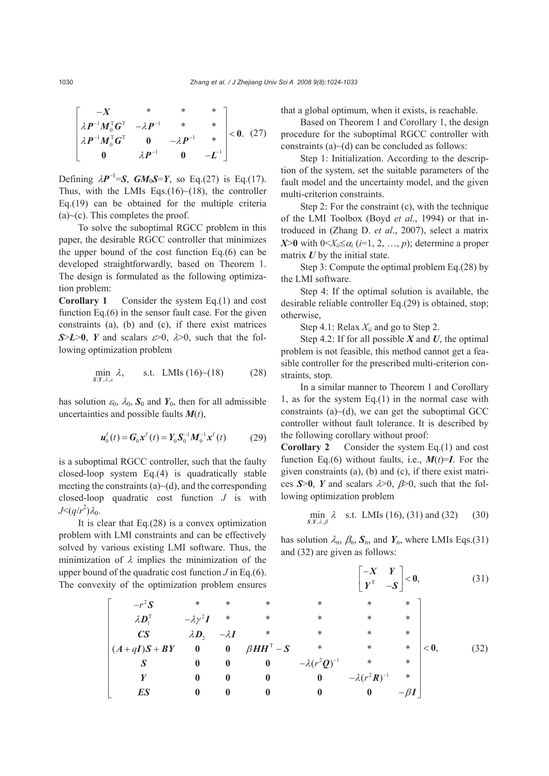$$
\begin{bmatrix} -X & * & * & * \\ \lambda P^{-1} M_0^{\mathrm{T}} G^{\mathrm{T}} & -\lambda P^{-1} & * & * \\ \lambda P^{-1} M_0^{\mathrm{T}} G^{\mathrm{T}} & 0 & -\lambda P^{-1} & * \\ 0 & \lambda P^{-1} & 0 & -L^{-1} \end{bmatrix} < 0. \quad (27)
$$

Defining  $\lambda P^{-1} = S$ ,  $GM_0S = Y$ , so Eq.(27) is Eq.(17). Thus, with the LMIs Eqs.(16) $\sim$ (18), the controller Eq.(19) can be obtained for the multiple criteria  $(a)~(c)$ . This completes the proof.

To solve the suboptimal RGCC problem in this paper, the desirable RGCC controller that minimizes the upper bound of the cost function Eq.(6) can be developed straightforwardly, based on Theorem 1. The design is formulated as the following optimization problem:

**Corollary 1** Consider the system Eq.(1) and cost function Eq.(6) in the sensor fault case. For the given constraints (a), (b) and (c), if there exist matrices  $S>L>0$ , *Y* and scalars  $\epsilon > 0$ ,  $\lambda > 0$ , such that the following optimization problem

$$
\min_{s, Y, \lambda, \varepsilon} \lambda, \qquad \text{s.t. LMIs (16)~(18)} \tag{28}
$$

has solution  $\varepsilon_0$ ,  $\lambda_0$ ,  $\mathbf{S}_0$  and  $\mathbf{Y}_0$ , then for all admissible uncertainties and possible faults *M*(*t*),

$$
\boldsymbol{u}_{0}^{\mathrm{f}}(t) = \boldsymbol{G}_{0} \boldsymbol{x}^{\mathrm{f}}(t) = \boldsymbol{Y}_{0} \boldsymbol{S}_{0}^{-1} \boldsymbol{M}_{0}^{-1} \boldsymbol{x}^{\mathrm{f}}(t) \tag{29}
$$

is a suboptimal RGCC controller, such that the faulty closed-loop system Eq.(4) is quadratically stable meeting the constraints  $(a)$   $\sim$   $(d)$ , and the corresponding closed-loop quadratic cost function *J* is with *J*< $(q/r^2)$ λ<sub>0</sub>.

It is clear that  $Eq.(28)$  is a convex optimization problem with LMI constraints and can be effectively solved by various existing LMI software. Thus, the minimization of  $\lambda$  implies the minimization of the upper bound of the quadratic cost function *J* in Eq.(6). The convexit

that a global optimum, when it exists, is reachable.

Based on Theorem 1 and Corollary 1, the design procedure for the suboptimal RGCC controller with constraints  $(a)$   $\sim$   $(d)$  can be concluded as follows:

Step 1: Initialization. According to the description of the system, set the suitable parameters of the fault model and the uncertainty model, and the given multi-criterion constraints.

Step 2: For the constraint (c), with the technique of the LMI Toolbox (Boyd *et al*., 1994) or that introduced in (Zhang D. *et al*., 2007), select a matrix *X*>**0** with  $0 \leq X_{ii} \leq \alpha_i$  (*i*=1, 2, …, *p*); determine a proper matrix *U* by the initial state.

Step 3: Compute the optimal problem Eq.(28) by the LMI software.

Step 4: If the optimal solution is available, the desirable reliable controller Eq.(29) is obtained, stop; otherwise,

Step 4.1: Relax *Xii* and go to Step 2.

Step 4.2: If for all possible *X* and *U*, the optimal problem is not feasible, this method cannot get a feasible controller for the prescribed multi-criterion constraints, stop.

In a similar manner to Theorem 1 and Corollary 1, as for the system Eq.(1) in the normal case with constraints  $(a)$   $\sim$   $(d)$ , we can get the suboptimal GCC controller without fault tolerance. It is described by the following corollary without proof:

**Corollary 2** Consider the system Eq.(1) and cost function Eq.(6) without faults, i.e.,  $M(t)=I$ . For the given constraints (a), (b) and (c), if there exist matrices  $S>0$ , *Y* and scalars  $\lambda>0$ ,  $\beta>0$ , such that the following optimization problem

$$
\min_{S,Y,\lambda,\beta} \lambda \quad \text{s.t. LMIs (16), (31) and (32) } \tag{30}
$$

has solution  $\lambda_n$ ,  $\beta_n$ ,  $S_n$ , and  $Y_n$ , where LMIs Eqs.(31) and (32) are given as follows:

of the quadratic cost function *J* in Eq.(6).  
\nty of the optimization problem ensures\n
$$
\begin{bmatrix}\n-x & Y \\
y^T & -S\n\end{bmatrix} < 0,
$$
\n(31)  
\n
$$
\begin{bmatrix}\n-x^2S & * & * & * & * & * & * & * \\
\lambda D_1^T & -\lambda y^2 I & * & * & * & * & * \\
CS & \lambda D_2 & -\lambda I & * & * & * & * & * \\
(A+qI)S + BY & 0 & 0 & \beta H H^T - S & * & * & * & * \\
S & 0 & 0 & 0 & -\lambda (r^2 Q)^{-1} & * & * \\
Y & 0 & 0 & 0 & 0 & -\lambda (r^2 R)^{-1} & * \\
ES & 0 & 0 & 0 & 0 & 0 & -\beta I\n\end{bmatrix}
$$
\n(32)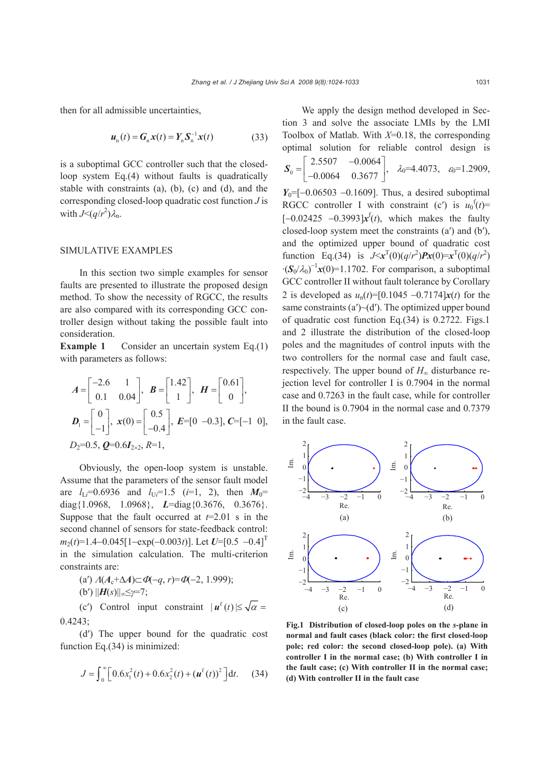then for all admissible uncertainties,

$$
\boldsymbol{u}_{n}(t) = \boldsymbol{G}_{n}\boldsymbol{x}(t) = \boldsymbol{Y}_{n}\boldsymbol{S}_{n}^{-1}\boldsymbol{x}(t) \tag{33}
$$

is a suboptimal GCC controller such that the closedloop system Eq.(4) without faults is quadratically stable with constraints (a), (b), (c) and (d), and the corresponding closed-loop quadratic cost function *J* is with  $J \leq (q/r^2) \lambda_n$ .

## SIMULATIVE EXAMPLES

In this section two simple examples for sensor faults are presented to illustrate the proposed design method. To show the necessity of RGCC, the results are also compared with its corresponding GCC controller design without taking the possible fault into consideration.

**Example 1** Consider an uncertain system Eq.(1) with parameters as follows:

$$
A = \begin{bmatrix} -2.6 & 1 \\ 0.1 & 0.04 \end{bmatrix}, B = \begin{bmatrix} 1.42 \\ 1 \end{bmatrix}, H = \begin{bmatrix} 0.61 \\ 0 \end{bmatrix},
$$
  

$$
D_1 = \begin{bmatrix} 0 \\ -1 \end{bmatrix}, x(0) = \begin{bmatrix} 0.5 \\ -0.4 \end{bmatrix}, E = \begin{bmatrix} 0 & -0.3 \end{bmatrix}, C = \begin{bmatrix} -1 & 0 \end{bmatrix},
$$
  

$$
D_2 = 0.5, Q = 0.6 I_{2 \times 2}, R = 1,
$$

Obviously, the open-loop system is unstable. Assume that the parameters of the sensor fault model are  $l_{\text{L}i}$ =0.6936 and  $l_{\text{U}i}$ =1.5 (*i*=1, 2), then  $M_0$ = diag{1.0968, 1.0968}, *L*=diag{0.3676, 0.3676}. Suppose that the fault occurred at *t*=2.01 s in the second channel of sensors for state-feedback control: *m*<sub>2</sub>(*t*)=1.4−0.045[1−exp(−0.003*t*)]. Let *U*=[0.5 −0.4]<sup>T</sup> in the simulation calculation. The multi-criterion constraints are:

(a') 
$$
A(A_c + \Delta A) \subset \Phi(-q, r) = \Phi(-2, 1.999);
$$

(b′) ||*H*(*s*)||∞≤*γ*=7;

(c') Control input constraint  $|\mathbf{u}^{\text{f}}(t)| \leq \sqrt{\alpha} =$  $0.4243$ 

(d′) The upper bound for the quadratic cost function Eq.(34) is minimized:

$$
J = \int_0^\infty \left[ 0.6x_1^2(t) + 0.6x_2^2(t) + (u^f(t))^2 \right] dt. \quad (34)
$$

We apply the design method developed in Section 3 and solve the associate LMIs by the LMI Toolbox of Matlab. With *X*=0.18, the corresponding optimal solution for reliable control design is

$$
\boldsymbol{S}_0 = \begin{bmatrix} 2.5507 & -0.0064 \\ -0.0064 & 0.3677 \end{bmatrix}, \quad \lambda_0 = 4.4073, \quad \varepsilon_0 = 1.2909,
$$

*Y*<sub>0</sub>=[−0.06503 −0.1609]. Thus, a desired suboptimal RGCC controller I with constraint (c') is  $u_0^f(t)$ =  $[-0.02425 \ -0.3993]$  $x^f(t)$ , which makes the faulty closed-loop system meet the constraints (a′) and (b′), and the optimized upper bound of quadratic cost function Eq.(34) is  $J \le x^T(0) (q/r^2) P x(0) = x^T(0) (q/r^2)$  $\cdot (S_0/\lambda_0)^{-1}x(0)=1.1702$ . For comparison, a suboptimal GCC controller II without fault tolerance by Corollary 2 is developed as *u*n(*t*)=[0.1045 −0.7174]*x*(*t*) for the same constraints  $(a')\sim(d')$ . The optimized upper bound of quadratic cost function Eq.(34) is 0.2722. Figs.1 and 2 illustrate the distribution of the closed-loop poles and the magnitudes of control inputs with the two controllers for the normal case and fault case, respectively. The upper bound of *H*∞ disturbance rejection level for controller I is 0.7904 in the normal case and 0.7263 in the fault case, while for controller II the bound is 0.7904 in the normal case and 0.7379 in the fault case.



**Fig.1 Distribution of closed-loop poles on the** *s***-plane in normal and fault cases (black color: the first closed-loop pole; red color: the second closed-loop pole). (a) With controller I in the normal case; (b) With controller I in the fault case; (c) With controller II in the normal case; (d) With controller II in the fault case**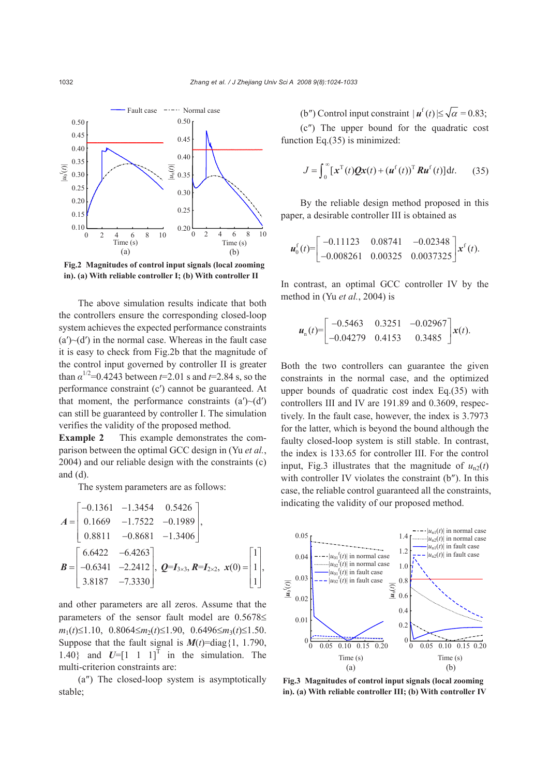

**Fig.2 Magnitudes of control input signals (local zooming in). (a) With reliable controller I; (b) With controller II**

The above simulation results indicate that both the controllers ensure the corresponding closed-loop system achieves the expected performance constraints  $(a')\sim(d')$  in the normal case. Whereas in the fault case it is easy to check from Fig.2b that the magnitude of the control input governed by controller II is greater than  $\alpha^{1/2}$ =0.4243 between *t*=2.01 s and *t*=2.84 s, so the performance constraint (c′) cannot be guaranteed. At that moment, the performance constraints  $(a')\sim(d')$ can still be guaranteed by controller I. The simulation verifies the validity of the proposed method.

**Example 2** This example demonstrates the comparison between the optimal GCC design in (Yu *et al.*, 2004) and our reliable design with the constraints (c) and (d).

The system parameters are as follows:

$$
A = \begin{bmatrix} -0.1361 & -1.3454 & 0.5426 \\ 0.1669 & -1.7522 & -0.1989 \\ 0.8811 & -0.8681 & -1.3406 \end{bmatrix},
$$
  

$$
B = \begin{bmatrix} 6.6422 & -6.4263 \\ -0.6341 & -2.2412 \\ 3.8187 & -7.3330 \end{bmatrix},
$$
  $Q=I_{3\times 3}, R=I_{2\times 2},$   $x(0) = \begin{bmatrix} 1 \\ 1 \\ 1 \end{bmatrix},$ 

and other parameters are all zeros. Assume that the parameters of the sensor fault model are 0.5678≤ *m*1(*t*)≤1.10, 0.8064≤*m*2(*t*)≤1.90, 0.6496≤*m*3(*t*)≤1.50. Suppose that the fault signal is  $M(t)$ =diag{1, 1.790, 1.40} and  $U=[1 \ 1 \ 1]^T$  in the simulation. The multi-criterion constraints are:

(a″) The closed-loop system is asymptotically stable;

(b") Control input constraint  $|\boldsymbol{u}^{\text{f}}(t)| \leq \sqrt{\alpha} = 0.83;$ (c″) The upper bound for the quadratic cost function Eq.(35) is minimized:

$$
J = \int_0^\infty [\mathbf{x}^{\mathrm{T}}(t)\mathbf{Q}\mathbf{x}(t) + (\mathbf{u}^{\mathrm{f}}(t))^{\mathrm{T}}\mathbf{R}\mathbf{u}^{\mathrm{f}}(t)]\mathrm{d}t. \quad (35)
$$

By the reliable design method proposed in this paper, a desirable controller III is obtained as

$$
\boldsymbol{u}_0^{\mathrm{f}}(t) = \begin{bmatrix} -0.11123 & 0.08741 & -0.02348 \\ -0.008261 & 0.00325 & 0.0037325 \end{bmatrix} \boldsymbol{x}^{\mathrm{f}}(t).
$$

In contrast, an optimal GCC controller IV by the method in (Yu *et al.*, 2004) is

$$
\boldsymbol{u}_{n}(t) = \begin{bmatrix} -0.5463 & 0.3251 & -0.02967 \\ -0.04279 & 0.4153 & 0.3485 \end{bmatrix} \boldsymbol{x}(t).
$$

Both the two controllers can guarantee the given constraints in the normal case, and the optimized upper bounds of quadratic cost index Eq.(35) with controllers III and IV are 191.89 and 0.3609, respectively. In the fault case, however, the index is 3.7973 for the latter, which is beyond the bound although the faulty closed-loop system is still stable. In contrast, the index is 133.65 for controller III. For the control input, Fig.3 illustrates that the magnitude of  $u_{n2}(t)$ with controller IV violates the constraint (b″). In this case, the reliable control guaranteed all the constraints, indicating the validity of our proposed method.



**Fig.3 Magnitudes of control input signals (local zooming in). (a) With reliable controller III; (b) With controller IV**